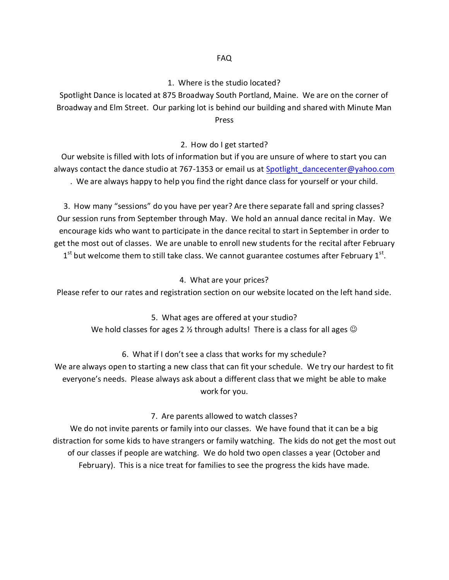### FAQ

## 1. Where is the studio located?

Spotlight Dance is located at 875 Broadway South Portland, Maine. We are on the corner of Broadway and Elm Street. Our parking lot is behind our building and shared with Minute Man Press

## 2. How do I get started?

Our website is filled with lots of information but if you are unsure of where to start you can always contact the dance studio at 767-1353 or email us at [Spotlight\\_dancecenter@yahoo.com](mailto:Spotlight_dancecenter@yahoo.com) . We are always happy to help you find the right dance class for yourself or your child.

3. How many "sessions" do you have per year? Are there separate fall and spring classes? Our session runs from September through May. We hold an annual dance recital in May. We encourage kids who want to participate in the dance recital to start in September in order to get the most out of classes. We are unable to enroll new students for the recital after February  $1<sup>st</sup>$  but welcome them to still take class. We cannot guarantee costumes after February  $1<sup>st</sup>$ .

#### 4. What are your prices?

Please refer to our rates and registration section on our website located on the left hand side.

## 5. What ages are offered at your studio?

We hold classes for ages 2  $\frac{1}{2}$  through adults! There is a class for all ages  $\odot$ 

# 6. What if I don't see a class that works for my schedule?

We are always open to starting a new class that can fit your schedule. We try our hardest to fit everyone's needs. Please always ask about a different class that we might be able to make work for you.

## 7. Are parents allowed to watch classes?

We do not invite parents or family into our classes. We have found that it can be a big distraction for some kids to have strangers or family watching. The kids do not get the most out of our classes if people are watching. We do hold two open classes a year (October and February). This is a nice treat for families to see the progress the kids have made.